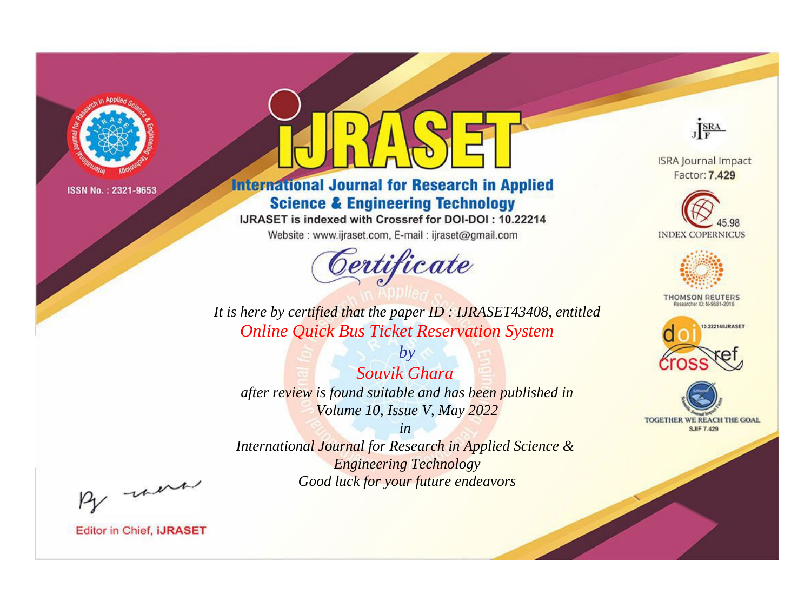

# **International Journal for Research in Applied Science & Engineering Technology**

IJRASET is indexed with Crossref for DOI-DOI: 10.22214

Website: www.ijraset.com, E-mail: ijraset@gmail.com



JERA

**ISRA Journal Impact** Factor: 7.429





**THOMSON REUTERS** 



TOGETHER WE REACH THE GOAL **SJIF 7.429** 

*It is here by certified that the paper ID : IJRASET43408, entitled Online Quick Bus Ticket Reservation System*

*by Souvik Ghara after review is found suitable and has been published in Volume 10, Issue V, May 2022*

*in* 

*International Journal for Research in Applied Science & Engineering Technology Good luck for your future endeavors*

By morn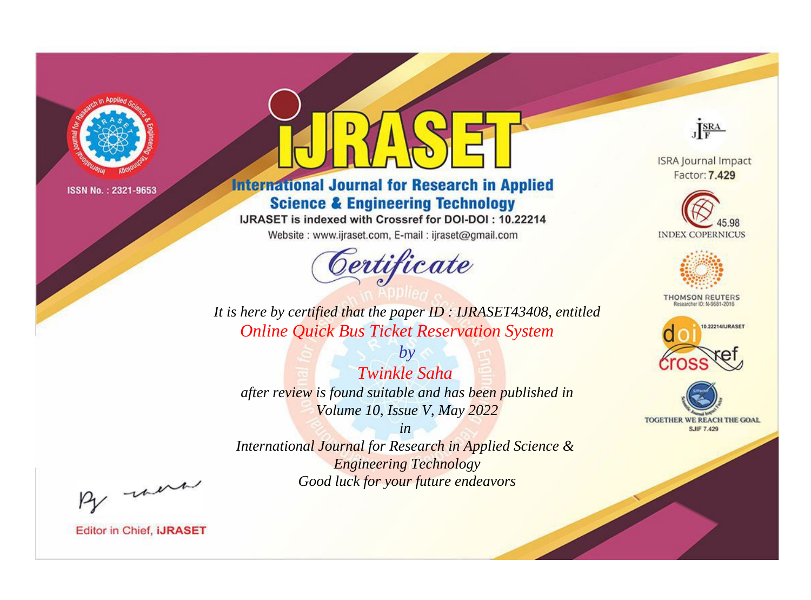

# **International Journal for Research in Applied Science & Engineering Technology**

IJRASET is indexed with Crossref for DOI-DOI: 10.22214

Website: www.ijraset.com, E-mail: ijraset@gmail.com



JERA

**ISRA Journal Impact** Factor: 7.429





**THOMSON REUTERS** 



TOGETHER WE REACH THE GOAL **SJIF 7.429** 

*It is here by certified that the paper ID : IJRASET43408, entitled Online Quick Bus Ticket Reservation System*

*by Twinkle Saha after review is found suitable and has been published in Volume 10, Issue V, May 2022*

*in* 

*International Journal for Research in Applied Science & Engineering Technology Good luck for your future endeavors*

By morn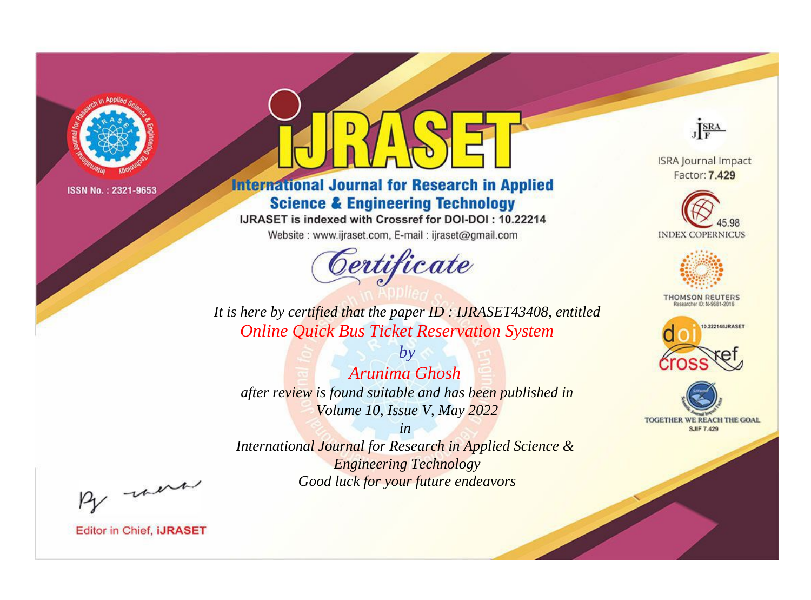

# **International Journal for Research in Applied Science & Engineering Technology**

IJRASET is indexed with Crossref for DOI-DOI: 10.22214

Website: www.ijraset.com, E-mail: ijraset@gmail.com



JERA

**ISRA Journal Impact** Factor: 7.429





**THOMSON REUTERS** 



TOGETHER WE REACH THE GOAL **SJIF 7.429** 

*It is here by certified that the paper ID : IJRASET43408, entitled Online Quick Bus Ticket Reservation System*

*by Arunima Ghosh after review is found suitable and has been published in Volume 10, Issue V, May 2022*

*in* 

*International Journal for Research in Applied Science & Engineering Technology Good luck for your future endeavors*

By morn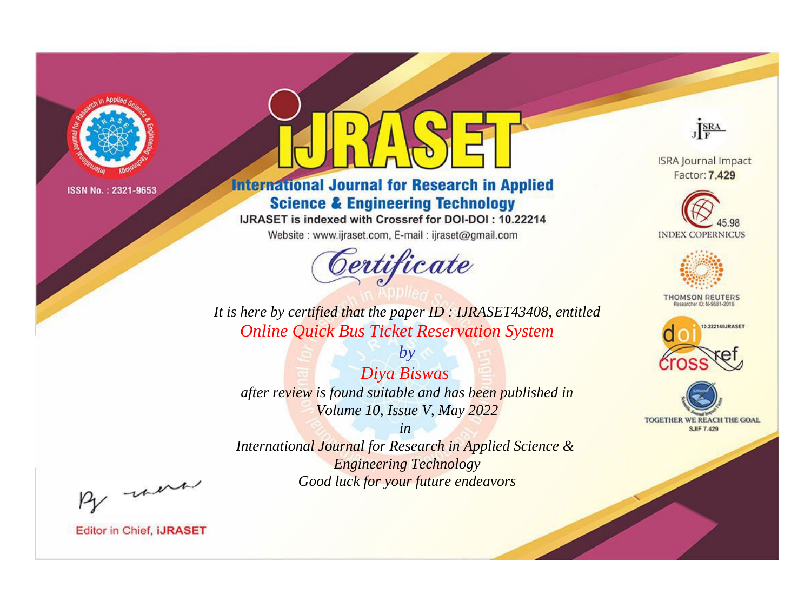

# **International Journal for Research in Applied Science & Engineering Technology**

IJRASET is indexed with Crossref for DOI-DOI: 10.22214

Website: www.ijraset.com, E-mail: ijraset@gmail.com



JERA

**ISRA Journal Impact** Factor: 7.429





**THOMSON REUTERS** 



TOGETHER WE REACH THE GOAL **SJIF 7.429** 

*It is here by certified that the paper ID : IJRASET43408, entitled Online Quick Bus Ticket Reservation System*

*by Diya Biswas after review is found suitable and has been published in Volume 10, Issue V, May 2022*

*in* 

*International Journal for Research in Applied Science & Engineering Technology Good luck for your future endeavors*

By morn